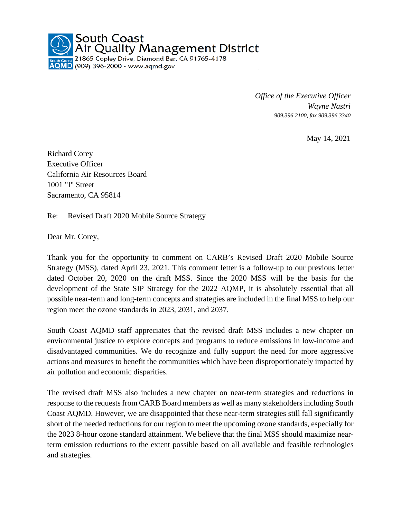

*Office of the Executive Officer Wayne Nastri 909.396.2100, fax 909.396.3340*

May 14, 2021

Richard Corey Executive Officer California Air Resources Board 1001 "I" Street Sacramento, CA 95814

Re: Revised Draft 2020 Mobile Source Strategy

Dear Mr. Corey,

Thank you for the opportunity to comment on CARB's Revised Draft 2020 Mobile Source Strategy (MSS), dated April 23, 2021. This comment letter is a follow-up to our previous letter dated October 20, 2020 on the draft MSS. Since the 2020 MSS will be the basis for the development of the State SIP Strategy for the 2022 AQMP, it is absolutely essential that all possible near-term and long-term concepts and strategies are included in the final MSS to help our region meet the ozone standards in 2023, 2031, and 2037.

South Coast AQMD staff appreciates that the revised draft MSS includes a new chapter on environmental justice to explore concepts and programs to reduce emissions in low-income and disadvantaged communities. We do recognize and fully support the need for more aggressive actions and measures to benefit the communities which have been disproportionately impacted by air pollution and economic disparities.

The revised draft MSS also includes a new chapter on near-term strategies and reductions in response to the requests from CARB Board members as well as many stakeholders including South Coast AQMD. However, we are disappointed that these near-term strategies still fall significantly short of the needed reductions for our region to meet the upcoming ozone standards, especially for the 2023 8-hour ozone standard attainment. We believe that the final MSS should maximize nearterm emission reductions to the extent possible based on all available and feasible technologies and strategies.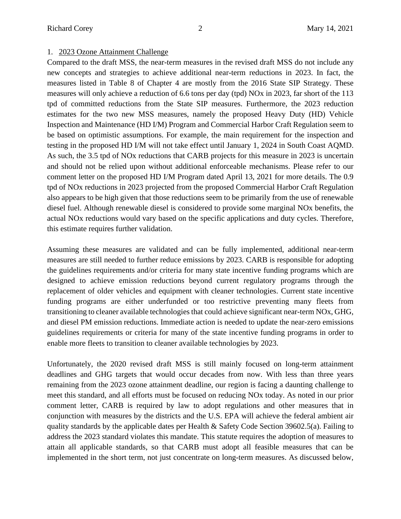## 1. 2023 Ozone Attainment Challenge

Compared to the draft MSS, the near-term measures in the revised draft MSS do not include any new concepts and strategies to achieve additional near-term reductions in 2023. In fact, the measures listed in Table 8 of Chapter 4 are mostly from the 2016 State SIP Strategy. These measures will only achieve a reduction of 6.6 tons per day (tpd) NOx in 2023, far short of the 113 tpd of committed reductions from the State SIP measures. Furthermore, the 2023 reduction estimates for the two new MSS measures, namely the proposed Heavy Duty (HD) Vehicle Inspection and Maintenance (HD I/M) Program and Commercial Harbor Craft Regulation seem to be based on optimistic assumptions. For example, the main requirement for the inspection and testing in the proposed HD I/M will not take effect until January 1, 2024 in South Coast AQMD. As such, the 3.5 tpd of NOx reductions that CARB projects for this measure in 2023 is uncertain and should not be relied upon without additional enforceable mechanisms. Please refer to our comment letter on the proposed HD I/M Program dated April 13, 2021 for more details. The 0.9 tpd of NOx reductions in 2023 projected from the proposed Commercial Harbor Craft Regulation also appears to be high given that those reductions seem to be primarily from the use of renewable diesel fuel. Although renewable diesel is considered to provide some marginal NOx benefits, the actual NOx reductions would vary based on the specific applications and duty cycles. Therefore, this estimate requires further validation.

Assuming these measures are validated and can be fully implemented, additional near-term measures are still needed to further reduce emissions by 2023. CARB is responsible for adopting the guidelines requirements and/or criteria for many state incentive funding programs which are designed to achieve emission reductions beyond current regulatory programs through the replacement of older vehicles and equipment with cleaner technologies. Current state incentive funding programs are either underfunded or too restrictive preventing many fleets from transitioning to cleaner available technologies that could achieve significant near-term NOx, GHG, and diesel PM emission reductions. Immediate action is needed to update the near-zero emissions guidelines requirements or criteria for many of the state incentive funding programs in order to enable more fleets to transition to cleaner available technologies by 2023.

Unfortunately, the 2020 revised draft MSS is still mainly focused on long-term attainment deadlines and GHG targets that would occur decades from now. With less than three years remaining from the 2023 ozone attainment deadline, our region is facing a daunting challenge to meet this standard, and all efforts must be focused on reducing NOx today. As noted in our prior comment letter, CARB is required by law to adopt regulations and other measures that in conjunction with measures by the districts and the U.S. EPA will achieve the federal ambient air quality standards by the applicable dates per Health & Safety Code Section 39602.5(a). Failing to address the 2023 standard violates this mandate. This statute requires the adoption of measures to attain all applicable standards, so that CARB must adopt all feasible measures that can be implemented in the short term, not just concentrate on long-term measures. As discussed below,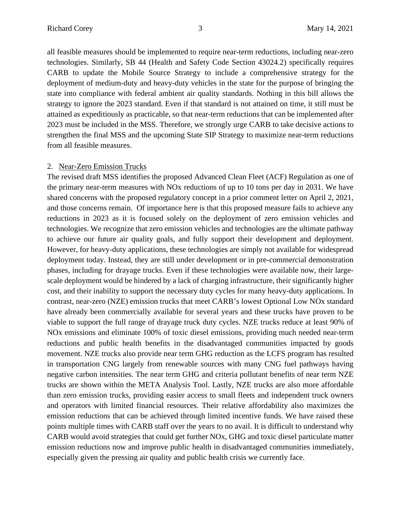all feasible measures should be implemented to require near-term reductions, including near-zero technologies. Similarly, SB 44 (Health and Safety Code Section 43024.2) specifically requires CARB to update the Mobile Source Strategy to include a comprehensive strategy for the deployment of medium-duty and heavy-duty vehicles in the state for the purpose of bringing the state into compliance with federal ambient air quality standards. Nothing in this bill allows the strategy to ignore the 2023 standard. Even if that standard is not attained on time, it still must be attained as expeditiously as practicable, so that near-term reductions that can be implemented after 2023 must be included in the MSS. Therefore, we strongly urge CARB to take decisive actions to strengthen the final MSS and the upcoming State SIP Strategy to maximize near-term reductions from all feasible measures.

## 2. Near-Zero Emission Trucks

The revised draft MSS identifies the proposed Advanced Clean Fleet (ACF) Regulation as one of the primary near-term measures with NOx reductions of up to 10 tons per day in 2031. We have shared concerns with the proposed regulatory concept in a prior comment letter on April 2, 2021, and those concerns remain. Of importance here is that this proposed measure fails to achieve any reductions in 2023 as it is focused solely on the deployment of zero emission vehicles and technologies. We recognize that zero emission vehicles and technologies are the ultimate pathway to achieve our future air quality goals, and fully support their development and deployment. However, for heavy-duty applications, these technologies are simply not available for widespread deployment today. Instead, they are still under development or in pre-commercial demonstration phases, including for drayage trucks. Even if these technologies were available now, their largescale deployment would be hindered by a lack of charging infrastructure, their significantly higher cost, and their inability to support the necessary duty cycles for many heavy-duty applications. In contrast, near-zero (NZE) emission trucks that meet CARB's lowest Optional Low NOx standard have already been commercially available for several years and these trucks have proven to be viable to support the full range of drayage truck duty cycles. NZE trucks reduce at least 90% of NOx emissions and eliminate 100% of toxic diesel emissions, providing much needed near-term reductions and public health benefits in the disadvantaged communities impacted by goods movement. NZE trucks also provide near term GHG reduction as the LCFS program has resulted in transportation CNG largely from renewable sources with many CNG fuel pathways having negative carbon intensities. The near term GHG and criteria pollutant benefits of near term NZE trucks are shown within the META Analysis Tool. Lastly, NZE trucks are also more affordable than zero emission trucks, providing easier access to small fleets and independent truck owners and operators with limited financial resources. Their relative affordability also maximizes the emission reductions that can be achieved through limited incentive funds. We have raised these points multiple times with CARB staff over the years to no avail. It is difficult to understand why CARB would avoid strategies that could get further NOx, GHG and toxic diesel particulate matter emission reductions now and improve public health in disadvantaged communities immediately, especially given the pressing air quality and public health crisis we currently face.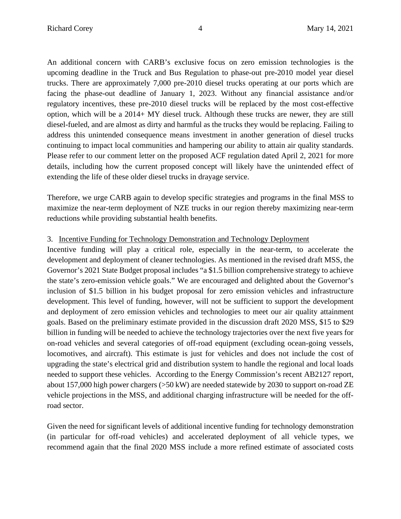An additional concern with CARB's exclusive focus on zero emission technologies is the upcoming deadline in the Truck and Bus Regulation to phase-out pre-2010 model year diesel trucks. There are approximately 7,000 pre-2010 diesel trucks operating at our ports which are facing the phase-out deadline of January 1, 2023. Without any financial assistance and/or regulatory incentives, these pre-2010 diesel trucks will be replaced by the most cost-effective option, which will be a 2014+ MY diesel truck. Although these trucks are newer, they are still diesel-fueled, and are almost as dirty and harmful as the trucks they would be replacing. Failing to address this unintended consequence means investment in another generation of diesel trucks continuing to impact local communities and hampering our ability to attain air quality standards. Please refer to our comment letter on the proposed ACF regulation dated April 2, 2021 for more details, including how the current proposed concept will likely have the unintended effect of extending the life of these older diesel trucks in drayage service.

Therefore, we urge CARB again to develop specific strategies and programs in the final MSS to maximize the near-term deployment of NZE trucks in our region thereby maximizing near-term reductions while providing substantial health benefits.

## 3. Incentive Funding for Technology Demonstration and Technology Deployment

Incentive funding will play a critical role, especially in the near-term, to accelerate the development and deployment of cleaner technologies. As mentioned in the revised draft MSS, the Governor's 2021 State Budget proposal includes "a \$1.5 billion comprehensive strategy to achieve the state's zero-emission vehicle goals." We are encouraged and delighted about the Governor's inclusion of \$1.5 billion in his budget proposal for zero emission vehicles and infrastructure development. This level of funding, however, will not be sufficient to support the development and deployment of zero emission vehicles and technologies to meet our air quality attainment goals. Based on the preliminary estimate provided in the discussion draft 2020 MSS, \$15 to \$29 billion in funding will be needed to achieve the technology trajectories over the next five years for on-road vehicles and several categories of off-road equipment (excluding ocean-going vessels, locomotives, and aircraft). This estimate is just for vehicles and does not include the cost of upgrading the state's electrical grid and distribution system to handle the regional and local loads needed to support these vehicles. According to the Energy Commission's recent AB2127 report, about 157,000 high power chargers (>50 kW) are needed statewide by 2030 to support on-road ZE vehicle projections in the MSS, and additional charging infrastructure will be needed for the offroad sector.

Given the need for significant levels of additional incentive funding for technology demonstration (in particular for off-road vehicles) and accelerated deployment of all vehicle types, we recommend again that the final 2020 MSS include a more refined estimate of associated costs